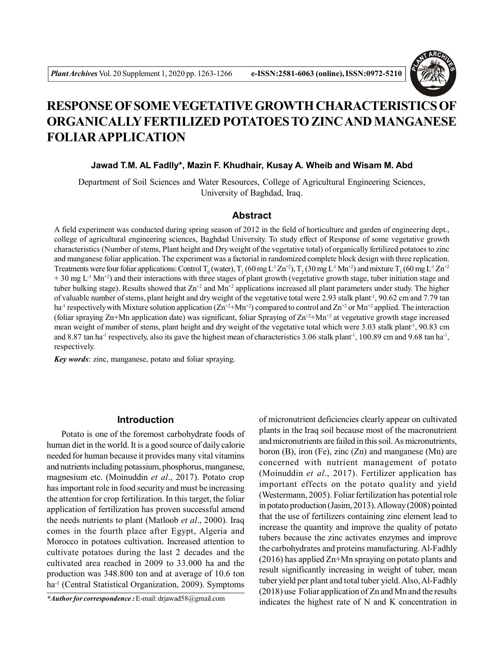

# **RESPONSE OF SOME VEGETATIVE GROWTH CHARACTERISTICS OF ORGANICALLY FERTILIZED POTATOES TO ZINC AND MANGANESE FOLIAR APPLICATION**

**Jawad T.M. AL Fadlly\*, Mazin F. Khudhair, Kusay A. Wheib and Wisam M. Abd**

Department of Soil Sciences and Water Resources, College of Agricultural Engineering Sciences, University of Baghdad, Iraq.

# **Abstract**

A field experiment was conducted during spring season of 2012 in the field of horticulture and garden of engineering dept., college of agricultural engineering sciences, Baghdad University. To study effect of Response of some vegetative growth characteristics (Number of stems, Plant height and Dry weight of the vegetative total) of organically fertilized potatoes to zinc and manganese foliar application. The experiment was a factorial in randomized complete block design with three replication. Treatments were four foliar applications: Control T<sub>0</sub> (water), T<sub>1</sub> (60 mg L<sup>-1</sup> Zn<sup>+2</sup>), T<sub>2</sub> (30 mg L<sup>-1</sup> Mn<sup>+2</sup>) and mixture T<sub>3</sub> (60 mg L<sup>-1</sup> Zn<sup>+2</sup>)  $+ 30$  mg L<sup>-1</sup> Mn<sup>+2</sup>) and their interactions with three stages of plant growth (vegetative growth stage, tuber initiation stage and tuber bulking stage). Results showed that  $Zn^{+2}$  and  $Mn^{+2}$  applications increased all plant parameters under study. The higher of valuable number of stems, plant height and dry weight of the vegetative total were 2.93 stalk plant<sup>-1</sup>, 90.62 cm and 7.79 tan ha<sup>-1</sup> respectively with Mixture solution application ( $Zn^{+2}+Mn^{+2}$ ) compared to control and  $Zn^{+2}$  or Mn<sup>+2</sup> applied. The interaction (foliar spraying Zn+Mn application date) was significant, foliar Spraying of  $Zn^{2}+Mn^{2}$  at vegetative growth stage increased mean weight of number of stems, plant height and dry weight of the vegetative total which were 3.03 stalk plant<sup>-1</sup>, 90.83 cm and 8.87 tan ha<sup>-1</sup> respectively, also its gave the highest mean of characteristics 3.06 stalk plant<sup>-1</sup>, 100.89 cm and 9.68 tan ha<sup>-1</sup>, respectively.

*Key words*: zinc, manganese, potato and foliar spraying.

# **Introduction**

Potato is one of the foremost carbohydrate foods of human diet in the world. It is a good source of daily calorie needed for human because it provides many vital vitamins and nutrients including potassium, phosphorus, manganese, magnesium etc. (Moinuddin *et al*., 2017). Potato crop has important role in food security and must be increasing the attention for crop fertilization. In this target, the foliar application of fertilization has proven successful amend the needs nutrients to plant (Matloob *et al*., 2000). Iraq comes in the fourth place after Egypt, Algeria and Morocco in potatoes cultivation. Increased attention to cultivate potatoes during the last 2 decades and the cultivated area reached in 2009 to 33.000 ha and the production was 348.800 ton and at average of 10.6 ton ha<sup>-1</sup> (Central Statistical Organization, 2009). Symptoms

*\*Author for correspondence :* E-mail: drjawad58@gmail.com

of micronutrient deficiencies clearly appear on cultivated plants in the Iraq soil because most of the macronutrient and micronutrients are failed in this soil. As micronutrients, boron  $(B)$ , iron  $(Fe)$ , zinc  $(Zn)$  and manganese  $(Mn)$  are concerned with nutrient management of potato (Moinuddin *et al*., 2017). Fertilizer application has important effects on the potato quality and yield (Westermann, 2005). Foliar fertilization has potential role in potato production (Jasim, 2013). Alloway (2008) pointed that the use of fertilizers containing zinc element lead to increase the quantity and improve the quality of potato tubers because the zinc activates enzymes and improve the carbohydrates and proteins manufacturing. Al-Fadhly (2016) has applied Zn+Mn spraying on potato plants and result significantly increasing in weight of tuber, mean tuber yield per plant and total tuber yield. Also, Al-Fadhly (2018) use Foliar application of Zn and Mn and the results indicates the highest rate of N and K concentration in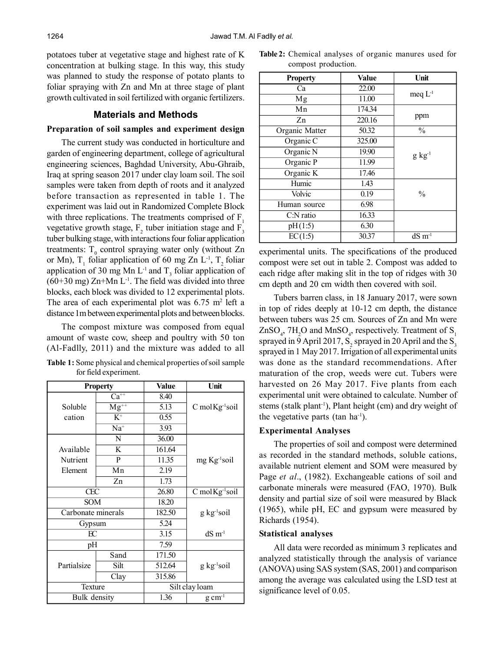potatoes tuber at vegetative stage and highest rate of K concentration at bulking stage. In this way, this study was planned to study the response of potato plants to foliar spraying with Zn and Mn at three stage of plant growth cultivated in soil fertilized with organic fertilizers.

### **Materials and Methods**

#### **Preparation of soil samples and experiment design**

The current study was conducted in horticulture and garden of engineering department, college of agricultural engineering sciences, Baghdad University, Abu-Ghraib, Iraq at spring season 2017 under clay loam soil. The soil samples were taken from depth of roots and it analyzed before transaction as represented in table 1. The experiment was laid out in Randomized Complete Block with three replications. The treatments comprised of  $F<sub>1</sub>$ vegetative growth stage,  $F_2$  tuber initiation stage and  $F_3$ tuber bulking stage, with interactions four foliar application treatments:  $T_0$  control spraying water only (without Zn or Mn),  $T_1$  foliar application of 60 mg Zn L<sup>-1</sup>,  $T_2$  foliar application of 30 mg Mn  $L^{-1}$  and  $T_3$  foliar application of  $(60+30 \text{ mg})$  Zn+Mn L<sup>-1</sup>. The field was divided into three blocks, each block was divided to 12 experimental plots. The area of each experimental plot was  $6.75 \text{ m}^2$  left a distance 1m between experimental plots and between blocks.

The compost mixture was composed from equal amount of waste cow, sheep and poultry with 50 ton (Al-Fadlly, 2011) and the mixture was added to all

**Table 1:** Some physical and chemical properties of soil sample for field experiment.

| <b>Property</b>    |           | Value  | Unit                      |
|--------------------|-----------|--------|---------------------------|
|                    | $Ca^{++}$ | 8.40   |                           |
| Soluble            | $Mg^{++}$ | 5.13   | $C$ mol $Kg^{-1}$ soil    |
| cation             | $K^+$     | 0.55   |                           |
|                    | $Na+$     | 3.93   |                           |
|                    | N         | 36.00  |                           |
| Available          | K         | 161.64 |                           |
| Nutrient           | P         | 11.35  | $mg\ Kg^{-1}$ soil        |
| Element            | Mn        | 2.19   |                           |
|                    | Zn        | 1.73   |                           |
| <b>CEC</b>         |           | 26.80  | $C$ mol $Kg^{-1}$ soil    |
| SOM                |           | 18.20  |                           |
| Carbonate minerals |           | 182.50 | $g$ kg <sup>-1</sup> soil |
| Gypsum             |           | 5.24   |                           |
| ЕС                 |           | 3.15   | $dS \, \text{m}^{-1}$     |
| pH                 |           | 7.59   |                           |
|                    | Sand      | 171.50 |                           |
| Partialsize        | Silt      | 512.64 | $g$ kg <sup>-1</sup> soil |
|                    | Clay      | 315.86 |                           |
| Texture            |           |        | Silt clay loam            |
| Bulk density       |           | 1.36   | $g \, \text{cm}^{-1}$     |

| <b>Table 2:</b> Chemical analyses of organic manures used for |  |  |  |
|---------------------------------------------------------------|--|--|--|
| compost production.                                           |  |  |  |

| <b>Property</b> | <b>Value</b> | Unit                  |
|-----------------|--------------|-----------------------|
| Ca              | 22.00        |                       |
| Mg              | 11.00        | meq $L-1$             |
| Mn              | 174.34       |                       |
| Zn              | 220.16       | ppm                   |
| Organic Matter  | 50.32        | $\frac{0}{0}$         |
| Organic C       | 325.00       |                       |
| Organic N       | 19.90        | $g kg^{-1}$           |
| Organic P       | 11.99        |                       |
| Organic K       | 17.46        |                       |
| Humic           | 1.43         |                       |
| Volvic          | 0.19         | $\frac{0}{0}$         |
| Human source    | 6.98         |                       |
| C:N ratio       | 16.33        |                       |
| pH(1:5)         | 6.30         |                       |
| EC(1:5)         | 30.37        | $dS \, \text{m}^{-1}$ |

experimental units. The specifications of the produced compost were set out in table 2. Compost was added to each ridge after making slit in the top of ridges with 30 cm depth and 20 cm width then covered with soil.

Tubers barren class, in 18 January 2017, were sown in top of rides deeply at 10-12 cm depth, the distance between tubers was 25 cm. Sources of Zn and Mn were  $ZnSO_4$ ,  $7H_2O$  and MnSO<sub>4</sub>, respectively. Treatment of S<sub>1</sub> sprayed in 9 April 2017,  $S_2$  sprayed in 20 April and the  $S_3$ sprayed in 1 May 2017. Irrigation of all experimental units was done as the standard recommendations. After maturation of the crop, weeds were cut. Tubers were harvested on 26 May 2017. Five plants from each experimental unit were obtained to calculate. Number of stems (stalk plant<sup>-1</sup>), Plant height (cm) and dry weight of the vegetative parts (tan  $ha^{-1}$ ).

#### **Experimental Analyses**

The properties of soil and compost were determined as recorded in the standard methods, soluble cations, available nutrient element and SOM were measured by Page *et al*., (1982). Exchangeable cations of soil and carbonate minerals were measured (FAO, 1970). Bulk density and partial size of soil were measured by Black (1965), while pH, EC and gypsum were measured by Richards (1954).

#### **Statistical analyses**

All data were recorded as minimum 3 replicates and analyzed statistically through the analysis of variance (ANOVA) using SAS system (SAS, 2001) and comparison among the average was calculated using the LSD test at significance level of 0.05.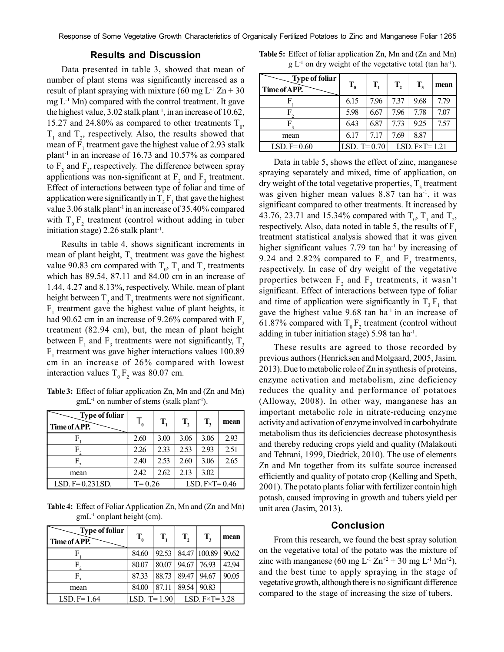## **Results and Discussion**

Data presented in table 3, showed that mean of number of plant stems was significantly increased as a result of plant spraying with mixture (60 mg  $L^{-1} Zn + 30$  $mg L<sup>-1</sup> Mn$ ) compared with the control treatment. It gave the highest value,  $3.02$  stalk plant<sup>-1</sup>, in an increase of  $10.62$ , 15.27 and 24.80% as compared to other treatments  $T_0$ ,  $T_1$  and  $T_2$ , respectively. Also, the results showed that mean of  $F_1$  treatment gave the highest value of 2.93 stalk plant<sup>-1</sup> in an increase of 16.73 and 10.57% as compared to  $F_2$  and  $F_3$ , respectively. The difference between spray applications was non-significant at  $F_2$  and  $F_3$  treatment. Effect of interactions between type of foliar and time of application were significantly in  $T_3 F_1$  that gave the highest value 3.06 stalk plant<sup>-1</sup> in an increase of 35.40% compared with  $T_0 F_2$  treatment (control without adding in tuber initiation stage) 2.26 stalk plant-1 .

Results in table 4, shows significant increments in mean of plant height,  $T<sub>3</sub>$  treatment was gave the highest value 90.83 cm compared with  $T_0$ ,  $T_1$  and  $T_2$  treatments which has 89.54, 87.11 and 84.00 cm in an increase of 1.44, 4.27 and 8.13%, respectively. While, mean of plant height between  $T_2$  and  $T_3$  treatments were not significant.  $F_1$  treatment gave the highest value of plant heights, it had 90.62 cm in an increase of 9.26% compared with  $F_2$ treatment (82.94 cm), but, the mean of plant height between  $F_1$  and  $F_3$  treatments were not significantly,  $T_3$  $F_1$  treatment was gave higher interactions values 100.89 cm in an increase of 26% compared with lowest interaction values  $T_0 F_2$  was 80.07 cm.

**Table 3:** Effect of foliar application Zn, Mn and (Zn and Mn)  $gmL<sup>-1</sup>$  on number of stems (stalk plant<sup>-1</sup>).

| Type of foliar<br>Time of APP. | T.         | T.   | T,                       | T,   | mean |
|--------------------------------|------------|------|--------------------------|------|------|
|                                | 2.60       | 3.00 | 3.06                     | 3.06 | 2.93 |
|                                | 2.26       | 2.33 | 2.53                     | 2.93 | 2.51 |
|                                | 2.40       | 2.53 | 2.60                     | 3.06 | 2.65 |
| mean                           | 2.42       | 2.62 | 2.13                     | 3.02 |      |
| $LSD.F=0.23LSD.$               | $T = 0.26$ |      | LSD. $F \times T = 0.46$ |      |      |

**Table 4:** Effect of Foliar Application Zn, Mn and (Zn and Mn)  $gmL<sup>-1</sup>$  onplant height (cm).

| Type of foliar<br>Time of APP. | $T_{0}$         | T,    | T,                       | $\mathbf{T}_{2}$               | mean  |
|--------------------------------|-----------------|-------|--------------------------|--------------------------------|-------|
|                                | 84.60           |       |                          | 92.53   84.47   100.89   90.62 |       |
|                                | 80.07           | 80.07 | 94.67                    | 76.93                          | 42.94 |
|                                | 87.33           | 88.73 | 89.47   94.67            |                                | 90.05 |
| mean                           | 84.00           | 87.11 | 89.54   90.83            |                                |       |
| $LSD.F = 1.64$                 | LSD. $T = 1.90$ |       | LSD. $F \times T = 3.28$ |                                |       |

| <b>Table 5:</b> Effect of foliar application Zn, Mn and (Zn and Mn)    |
|------------------------------------------------------------------------|
| $g L-1$ on dry weight of the vegetative total (tan ha <sup>-1</sup> ). |

| <b>Type of foliar</b><br>Time of APP. | $T_{0}$       | T,   | Т,   | $\mathbf{T}_{\mathbf{a}}$ | mean |
|---------------------------------------|---------------|------|------|---------------------------|------|
|                                       | 6.15          | 7.96 | 7.37 | 9.68                      | 779  |
|                                       | 5.98          | 6.67 | 7.96 | 7.78                      | 7.07 |
|                                       | 6.43          | 6.87 | 7.73 | 9.25                      | 7.57 |
| mean                                  | 6.17          | 7.17 | 7.69 | 8.87                      |      |
| $LSD.F=0.60$                          | LSD. $T=0.70$ |      |      | $LSD$ . $Fx$ $T$ = 1.21   |      |

Data in table 5, shows the effect of zinc, manganese spraying separately and mixed, time of application, on dry weight of the total vegetative properties,  $T_3$  treatment was given higher mean values 8.87 tan ha<sup>-1</sup>, it was significant compared to other treatments. It increased by 43.76, 23.71 and 15.34% compared with  $T_0$ ,  $T_1$  and  $T_2$ , respectively. Also, data noted in table 5, the results of  $F_1$ treatment statistical analysis showed that it was given higher significant values 7.79 tan  $ha^{-1}$  by increasing of 9.24 and 2.82% compared to  $F_2$  and  $F_3$  treatments, respectively. In case of dry weight of the vegetative properties between  $F_2$  and  $F_3$  treatments, it wasn't significant. Effect of interactions between type of foliar and time of application were significantly in  $T_3 F_1$  that gave the highest value 9.68 tan ha-1 in an increase of 61.87% compared with  $T_0 F_2$  treatment (control without adding in tuber initiation stage) 5.98 tan ha-1 .

These results are agreed to those recorded by previous authors (Henricksen and Molgaard, 2005, Jasim, 2013). Due to metabolic role of Zn in synthesis of proteins, enzyme activation and metabolism, zinc deficiency reduces the quality and performance of potatoes (Alloway, 2008). In other way, manganese has an important metabolic role in nitrate-reducing enzyme activity and activation of enzyme involved in carbohydrate metabolism thus its deficiencies decrease photosynthesis and thereby reducing crops yield and quality (Malakouti and Tehrani, 1999, Diedrick, 2010). The use of elements Zn and Mn together from its sulfate source increased efficiently and quality of potato crop (Kelling and Speth, 2001). The potato plants foliar with fertilizer contain high potash, caused improving in growth and tubers yield per unit area (Jasim, 2013).

# **Conclusion**

From this research, we found the best spray solution on the vegetative total of the potato was the mixture of zinc with manganese (60 mg L<sup>-1</sup> Zn<sup>+2</sup> + 30 mg L<sup>-1</sup> Mn<sup>+2</sup>), and the best time to apply spraying in the stage of vegetative growth, although there is no significant difference compared to the stage of increasing the size of tubers.